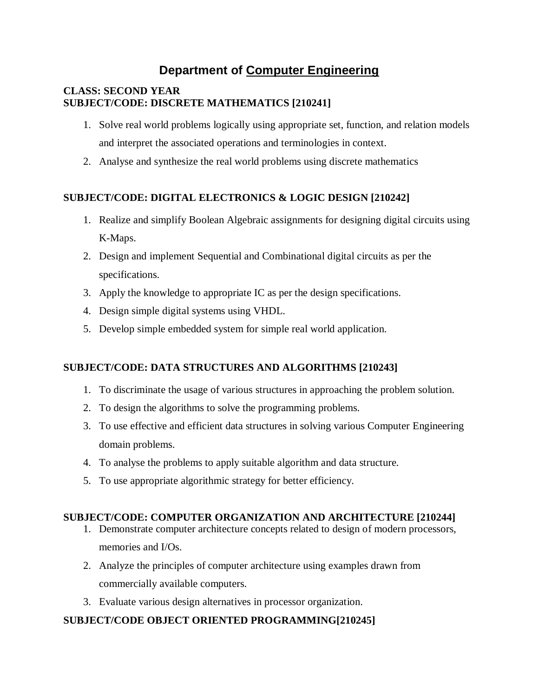# **Department of Computer Engineering**

### **CLASS: SECOND YEAR SUBJECT/CODE: DISCRETE MATHEMATICS [210241]**

- 1. Solve real world problems logically using appropriate set, function, and relation models and interpret the associated operations and terminologies in context.
- 2. Analyse and synthesize the real world problems using discrete mathematics

# **SUBJECT/CODE: DIGITAL ELECTRONICS & LOGIC DESIGN [210242]**

- 1. Realize and simplify Boolean Algebraic assignments for designing digital circuits using K-Maps.
- 2. Design and implement Sequential and Combinational digital circuits as per the specifications.
- 3. Apply the knowledge to appropriate IC as per the design specifications.
- 4. Design simple digital systems using VHDL.
- 5. Develop simple embedded system for simple real world application.

# **SUBJECT/CODE: DATA STRUCTURES AND ALGORITHMS [210243]**

- 1. To discriminate the usage of various structures in approaching the problem solution.
- 2. To design the algorithms to solve the programming problems.
- 3. To use effective and efficient data structures in solving various Computer Engineering domain problems.
- 4. To analyse the problems to apply suitable algorithm and data structure.
- 5. To use appropriate algorithmic strategy for better efficiency.

# **SUBJECT/CODE: COMPUTER ORGANIZATION AND ARCHITECTURE [210244]**

- 1. Demonstrate computer architecture concepts related to design of modern processors, memories and I/Os.
- 2. Analyze the principles of computer architecture using examples drawn from commercially available computers.
- 3. Evaluate various design alternatives in processor organization.

# **SUBJECT/CODE OBJECT ORIENTED PROGRAMMING[210245]**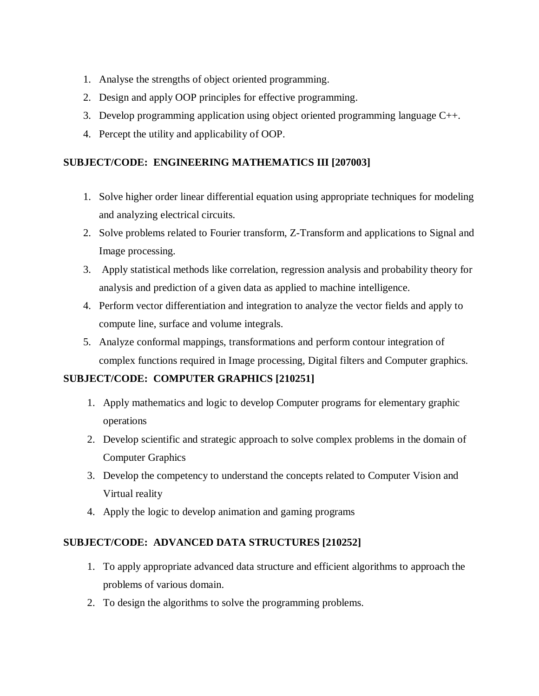- 1. Analyse the strengths of object oriented programming.
- 2. Design and apply OOP principles for effective programming.
- 3. Develop programming application using object oriented programming language C++.
- 4. Percept the utility and applicability of OOP.

# **SUBJECT/CODE: ENGINEERING MATHEMATICS III [207003]**

- 1. Solve higher order linear differential equation using appropriate techniques for modeling and analyzing electrical circuits.
- 2. Solve problems related to Fourier transform, Z-Transform and applications to Signal and Image processing.
- 3. Apply statistical methods like correlation, regression analysis and probability theory for analysis and prediction of a given data as applied to machine intelligence.
- 4. Perform vector differentiation and integration to analyze the vector fields and apply to compute line, surface and volume integrals.
- 5. Analyze conformal mappings, transformations and perform contour integration of complex functions required in Image processing, Digital filters and Computer graphics.

# **SUBJECT/CODE: COMPUTER GRAPHICS [210251]**

- 1. Apply mathematics and logic to develop Computer programs for elementary graphic operations
- 2. Develop scientific and strategic approach to solve complex problems in the domain of Computer Graphics
- 3. Develop the competency to understand the concepts related to Computer Vision and Virtual reality
- 4. Apply the logic to develop animation and gaming programs

# **SUBJECT/CODE: ADVANCED DATA STRUCTURES [210252]**

- 1. To apply appropriate advanced data structure and efficient algorithms to approach the problems of various domain.
- 2. To design the algorithms to solve the programming problems.